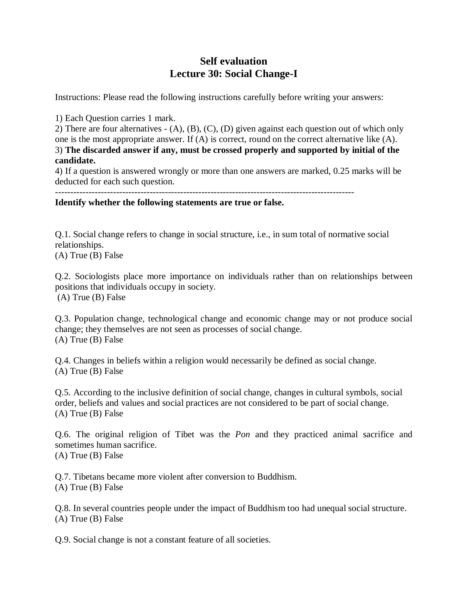## **Self evaluation Lecture 30: Social Change-I**

Instructions: Please read the following instructions carefully before writing your answers:

1) Each Question carries 1 mark.

2) There are four alternatives - (A), (B), (C), (D) given against each question out of which only one is the most appropriate answer. If (A) is correct, round on the correct alternative like (A). 3) **The discarded answer if any, must be crossed properly and supported by initial of the candidate.**

4) If a question is answered wrongly or more than one answers are marked, 0.25 marks will be deducted for each such question.

**Identify whether the following statements are true or false.** 

Q.1. Social change refers to change in social structure, i.e., in sum total of normative social relationships.

(A) True (B) False

Q.2. Sociologists place more importance on individuals rather than on relationships between positions that individuals occupy in society. (A) True (B) False

Q.3. Population change, technological change and economic change may or not produce social change; they themselves are not seen as processes of social change. (A) True (B) False

Q.4. Changes in beliefs within a religion would necessarily be defined as social change. (A) True (B) False

Q.5. According to the inclusive definition of social change, changes in cultural symbols, social order, beliefs and values and social practices are not considered to be part of social change. (A) True (B) False

Q.6. The original religion of Tibet was the *Pon* and they practiced animal sacrifice and sometimes human sacrifice. (A) True (B) False

Q.7. Tibetans became more violent after conversion to Buddhism. (A) True (B) False

Q.8. In several countries people under the impact of Buddhism too had unequal social structure. (A) True (B) False

Q.9. Social change is not a constant feature of all societies.